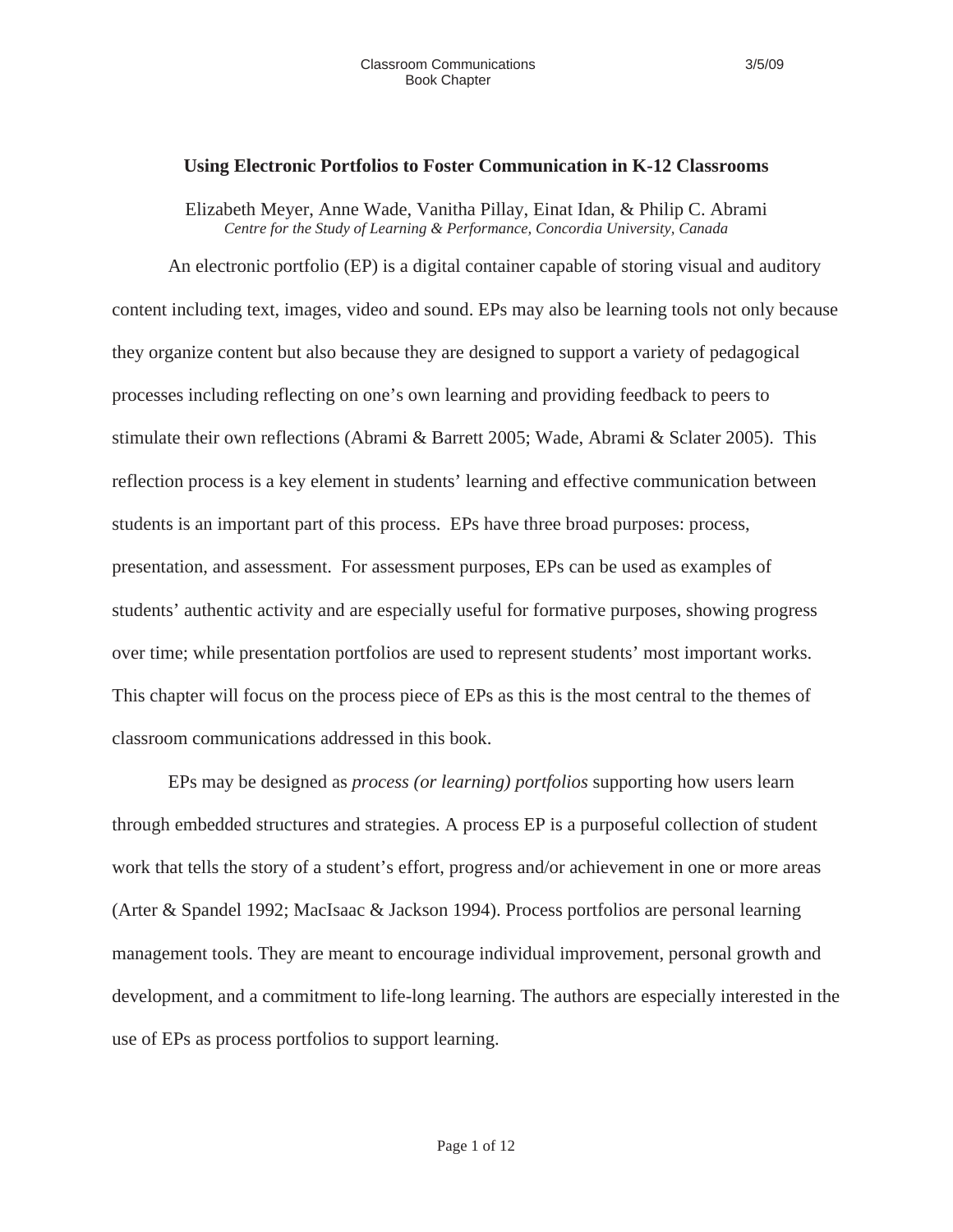#### **Using Electronic Portfolios to Foster Communication in K-12 Classrooms**

Elizabeth Meyer, Anne Wade, Vanitha Pillay, Einat Idan, & Philip C. Abrami *Centre for the Study of Learning & Performance, Concordia University, Canada* 

An electronic portfolio (EP) is a digital container capable of storing visual and auditory content including text, images, video and sound. EPs may also be learning tools not only because they organize content but also because they are designed to support a variety of pedagogical processes including reflecting on one's own learning and providing feedback to peers to stimulate their own reflections (Abrami & Barrett 2005; Wade, Abrami & Sclater 2005). This reflection process is a key element in students' learning and effective communication between students is an important part of this process. EPs have three broad purposes: process, presentation, and assessment. For assessment purposes, EPs can be used as examples of students' authentic activity and are especially useful for formative purposes, showing progress over time; while presentation portfolios are used to represent students' most important works. This chapter will focus on the process piece of EPs as this is the most central to the themes of classroom communications addressed in this book.

EPs may be designed as *process (or learning) portfolios* supporting how users learn through embedded structures and strategies. A process EP is a purposeful collection of student work that tells the story of a student's effort, progress and/or achievement in one or more areas (Arter & Spandel 1992; MacIsaac & Jackson 1994). Process portfolios are personal learning management tools. They are meant to encourage individual improvement, personal growth and development, and a commitment to life-long learning. The authors are especially interested in the use of EPs as process portfolios to support learning.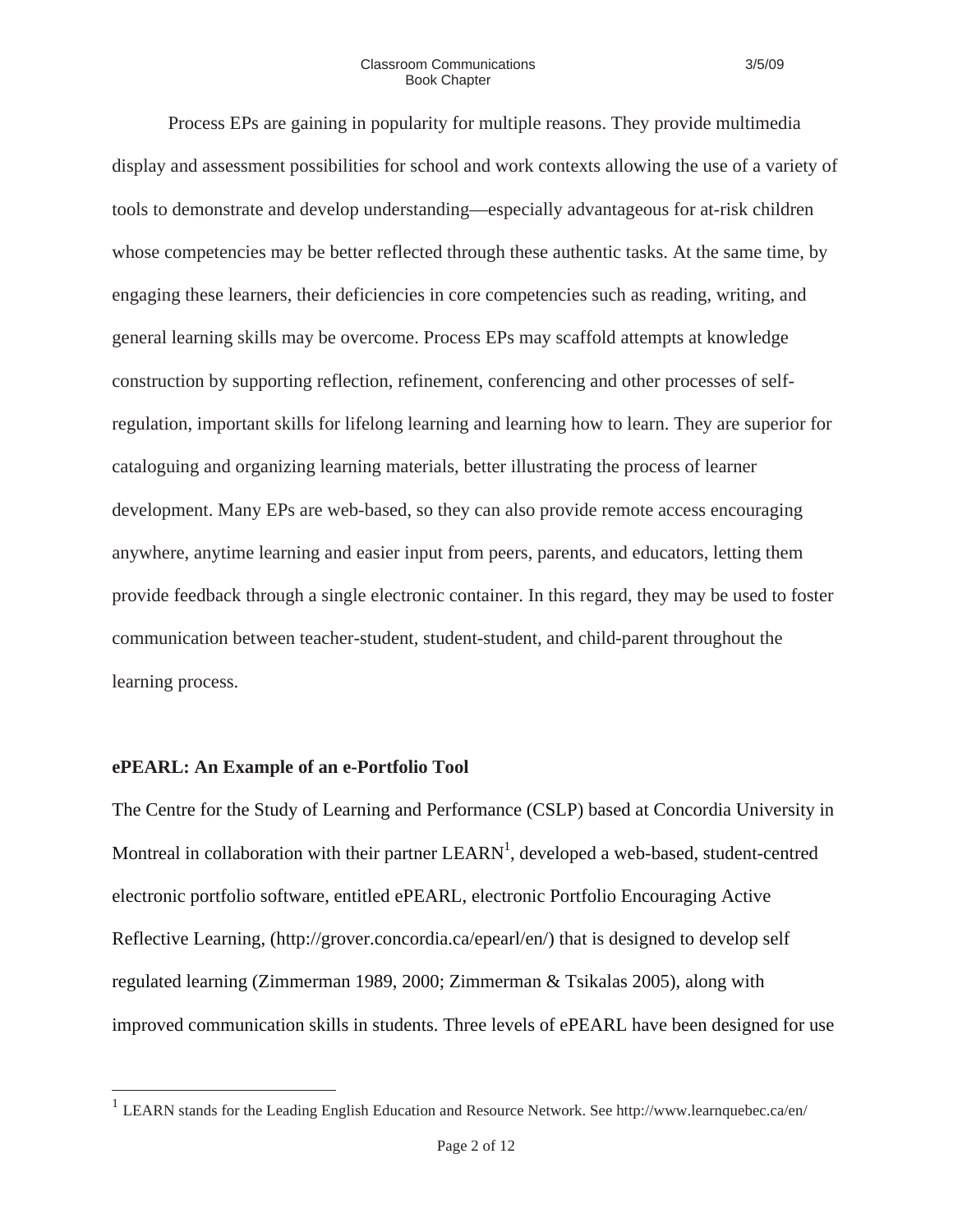Process EPs are gaining in popularity for multiple reasons. They provide multimedia display and assessment possibilities for school and work contexts allowing the use of a variety of tools to demonstrate and develop understanding—especially advantageous for at-risk children whose competencies may be better reflected through these authentic tasks. At the same time, by engaging these learners, their deficiencies in core competencies such as reading, writing, and general learning skills may be overcome. Process EPs may scaffold attempts at knowledge construction by supporting reflection, refinement, conferencing and other processes of selfregulation, important skills for lifelong learning and learning how to learn. They are superior for cataloguing and organizing learning materials, better illustrating the process of learner development. Many EPs are web-based, so they can also provide remote access encouraging anywhere, anytime learning and easier input from peers, parents, and educators, letting them provide feedback through a single electronic container. In this regard, they may be used to foster communication between teacher-student, student-student, and child-parent throughout the learning process.

#### **ePEARL: An Example of an e-Portfolio Tool**

The Centre for the Study of Learning and Performance (CSLP) based at Concordia University in Montreal in collaboration with their partner  $LEARN<sup>1</sup>$ , developed a web-based, student-centred electronic portfolio software, entitled ePEARL, electronic Portfolio Encouraging Active Reflective Learning, (http://grover.concordia.ca/epearl/en/) that is designed to develop self regulated learning (Zimmerman 1989, 2000; Zimmerman & Tsikalas 2005), along with improved communication skills in students. Three levels of ePEARL have been designed for use

<sup>&</sup>lt;sup>1</sup> LEARN stands for the Leading English Education and Resource Network. See http://www.learnquebec.ca/en/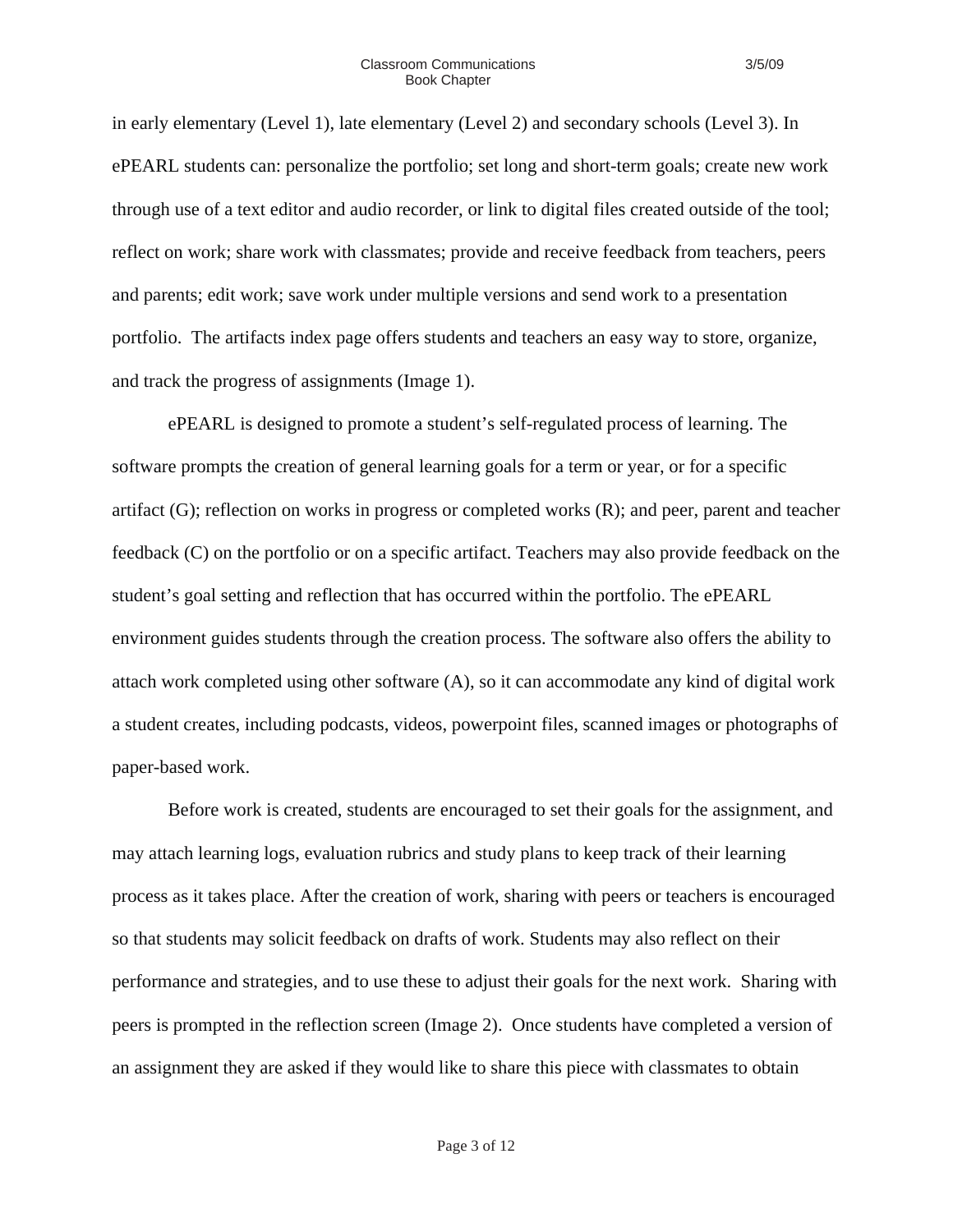in early elementary (Level 1), late elementary (Level 2) and secondary schools (Level 3). In ePEARL students can: personalize the portfolio; set long and short-term goals; create new work through use of a text editor and audio recorder, or link to digital files created outside of the tool; reflect on work; share work with classmates; provide and receive feedback from teachers, peers and parents; edit work; save work under multiple versions and send work to a presentation portfolio. The artifacts index page offers students and teachers an easy way to store, organize, and track the progress of assignments (Image 1).

ePEARL is designed to promote a student's self-regulated process of learning. The software prompts the creation of general learning goals for a term or year, or for a specific artifact (G); reflection on works in progress or completed works (R); and peer, parent and teacher feedback (C) on the portfolio or on a specific artifact. Teachers may also provide feedback on the student's goal setting and reflection that has occurred within the portfolio. The ePEARL environment guides students through the creation process. The software also offers the ability to attach work completed using other software (A), so it can accommodate any kind of digital work a student creates, including podcasts, videos, powerpoint files, scanned images or photographs of paper-based work.

Before work is created, students are encouraged to set their goals for the assignment, and may attach learning logs, evaluation rubrics and study plans to keep track of their learning process as it takes place. After the creation of work, sharing with peers or teachers is encouraged so that students may solicit feedback on drafts of work. Students may also reflect on their performance and strategies, and to use these to adjust their goals for the next work. Sharing with peers is prompted in the reflection screen (Image 2). Once students have completed a version of an assignment they are asked if they would like to share this piece with classmates to obtain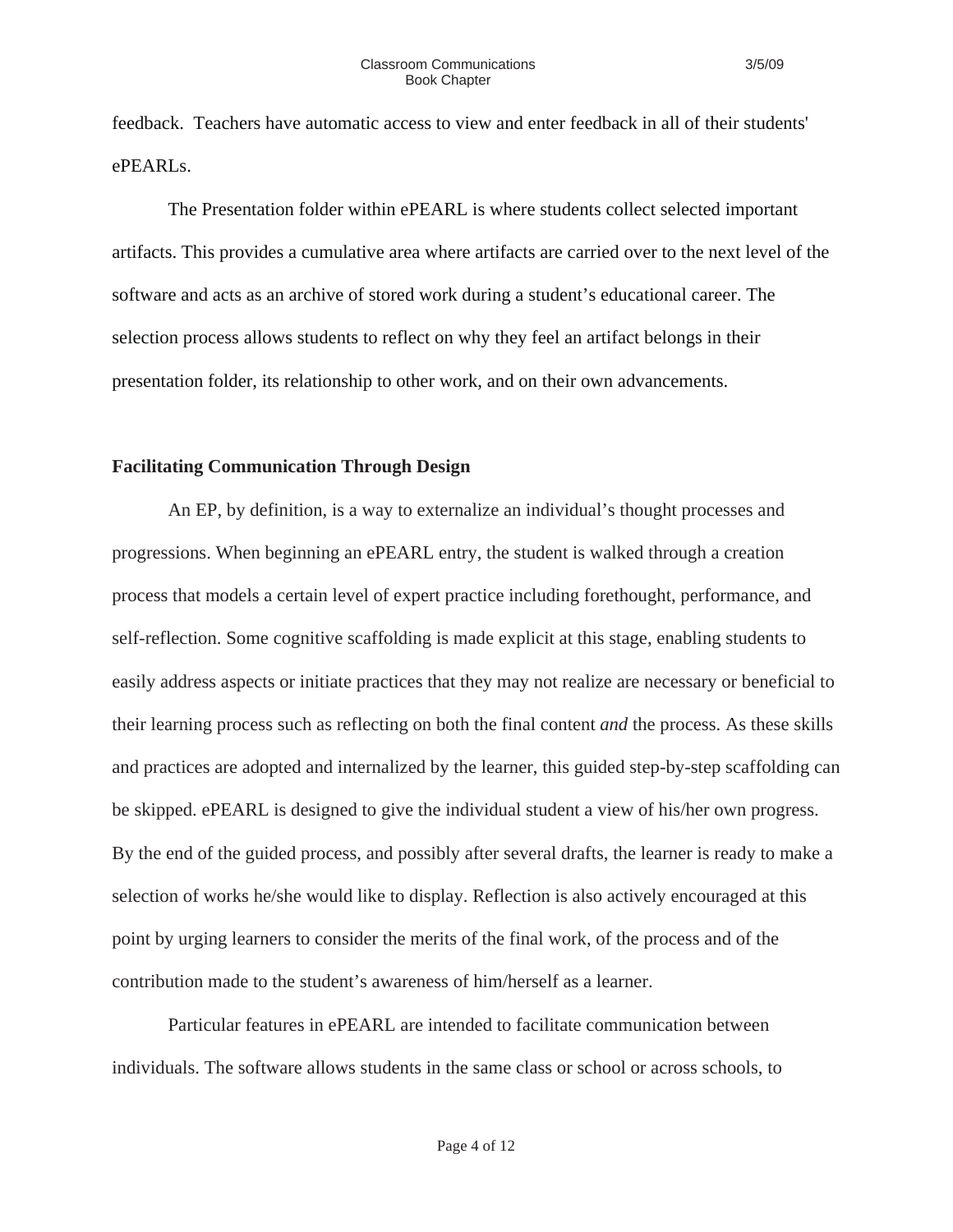feedback. Teachers have automatic access to view and enter feedback in all of their students' ePEARLs.

The Presentation folder within ePEARL is where students collect selected important artifacts. This provides a cumulative area where artifacts are carried over to the next level of the software and acts as an archive of stored work during a student's educational career. The selection process allows students to reflect on why they feel an artifact belongs in their presentation folder, its relationship to other work, and on their own advancements.

### **Facilitating Communication Through Design**

An EP, by definition, is a way to externalize an individual's thought processes and progressions. When beginning an ePEARL entry, the student is walked through a creation process that models a certain level of expert practice including forethought, performance, and self-reflection. Some cognitive scaffolding is made explicit at this stage, enabling students to easily address aspects or initiate practices that they may not realize are necessary or beneficial to their learning process such as reflecting on both the final content *and* the process. As these skills and practices are adopted and internalized by the learner, this guided step-by-step scaffolding can be skipped. ePEARL is designed to give the individual student a view of his/her own progress. By the end of the guided process, and possibly after several drafts, the learner is ready to make a selection of works he/she would like to display. Reflection is also actively encouraged at this point by urging learners to consider the merits of the final work, of the process and of the contribution made to the student's awareness of him/herself as a learner.

Particular features in ePEARL are intended to facilitate communication between individuals. The software allows students in the same class or school or across schools, to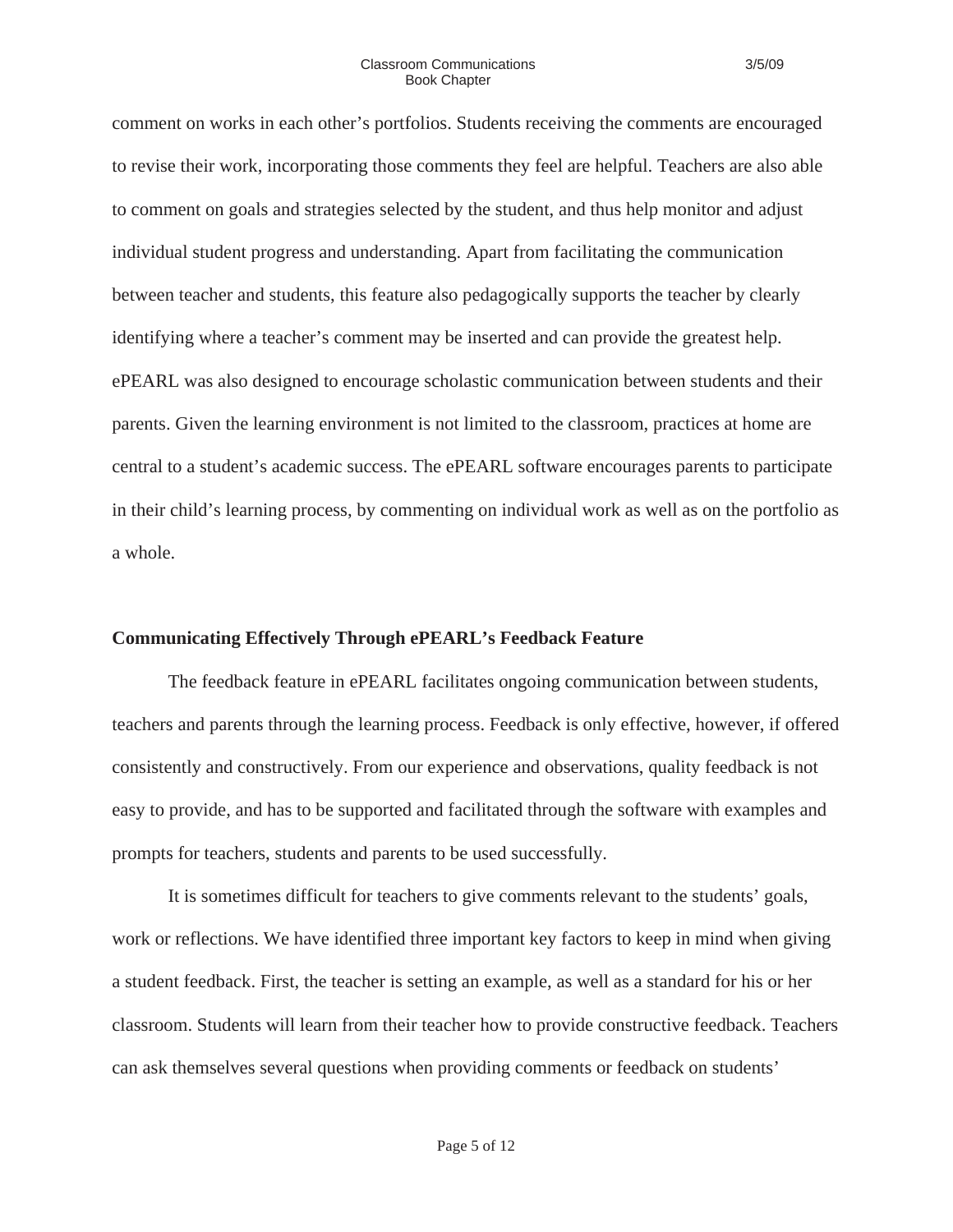comment on works in each other's portfolios. Students receiving the comments are encouraged to revise their work, incorporating those comments they feel are helpful. Teachers are also able to comment on goals and strategies selected by the student, and thus help monitor and adjust individual student progress and understanding. Apart from facilitating the communication between teacher and students, this feature also pedagogically supports the teacher by clearly identifying where a teacher's comment may be inserted and can provide the greatest help. ePEARL was also designed to encourage scholastic communication between students and their parents. Given the learning environment is not limited to the classroom, practices at home are central to a student's academic success. The ePEARL software encourages parents to participate in their child's learning process, by commenting on individual work as well as on the portfolio as a whole.

#### **Communicating Effectively Through ePEARL's Feedback Feature**

The feedback feature in ePEARL facilitates ongoing communication between students, teachers and parents through the learning process. Feedback is only effective, however, if offered consistently and constructively. From our experience and observations, quality feedback is not easy to provide, and has to be supported and facilitated through the software with examples and prompts for teachers, students and parents to be used successfully.

It is sometimes difficult for teachers to give comments relevant to the students' goals, work or reflections. We have identified three important key factors to keep in mind when giving a student feedback. First, the teacher is setting an example, as well as a standard for his or her classroom. Students will learn from their teacher how to provide constructive feedback. Teachers can ask themselves several questions when providing comments or feedback on students'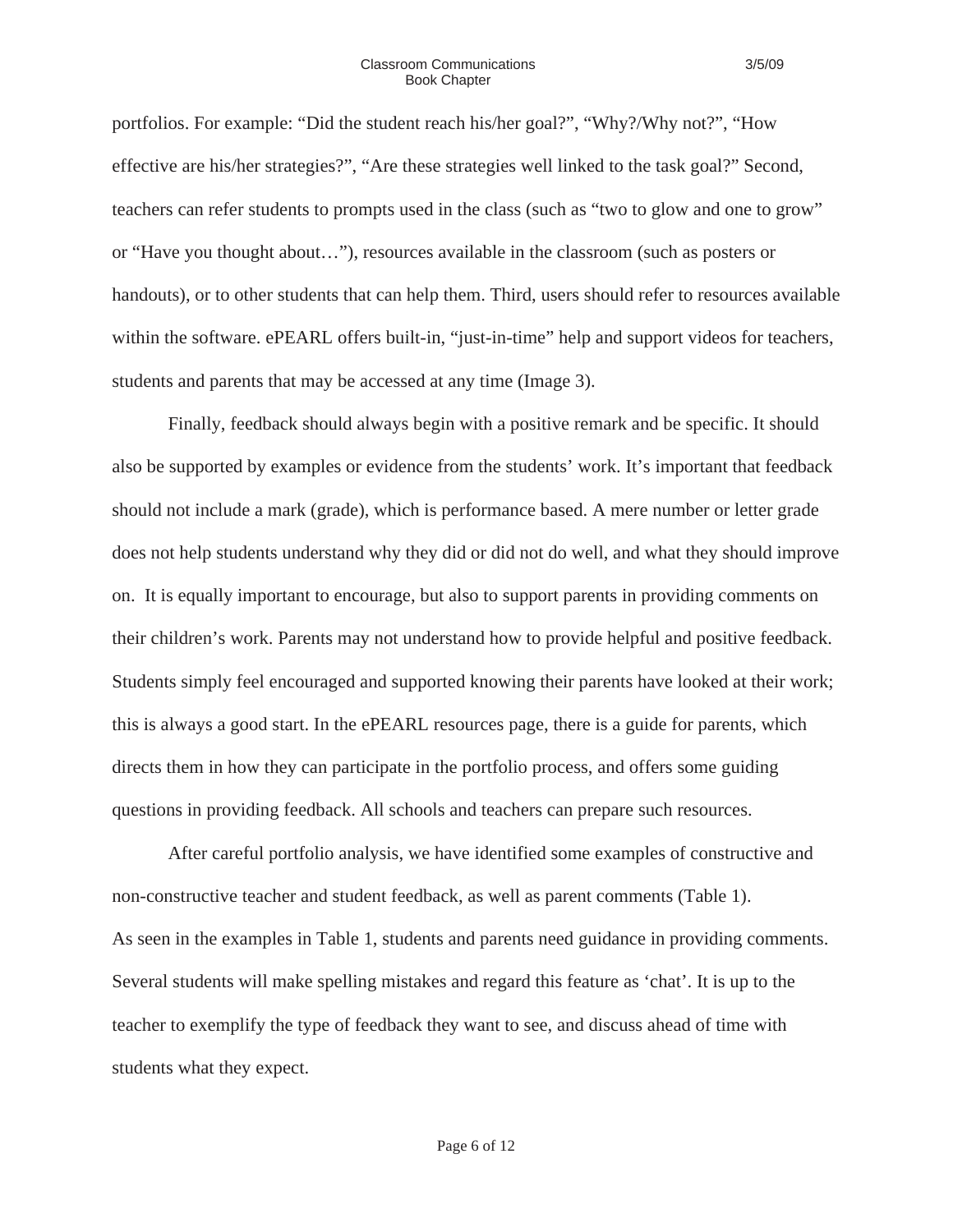portfolios. For example: "Did the student reach his/her goal?", "Why?/Why not?", "How effective are his/her strategies?", "Are these strategies well linked to the task goal?" Second, teachers can refer students to prompts used in the class (such as "two to glow and one to grow" or "Have you thought about…"), resources available in the classroom (such as posters or handouts), or to other students that can help them. Third, users should refer to resources available within the software. ePEARL offers built-in, "just-in-time" help and support videos for teachers, students and parents that may be accessed at any time (Image 3).

Finally, feedback should always begin with a positive remark and be specific. It should also be supported by examples or evidence from the students' work. It's important that feedback should not include a mark (grade), which is performance based. A mere number or letter grade does not help students understand why they did or did not do well, and what they should improve on. It is equally important to encourage, but also to support parents in providing comments on their children's work. Parents may not understand how to provide helpful and positive feedback. Students simply feel encouraged and supported knowing their parents have looked at their work; this is always a good start. In the ePEARL resources page, there is a guide for parents, which directs them in how they can participate in the portfolio process, and offers some guiding questions in providing feedback. All schools and teachers can prepare such resources.

After careful portfolio analysis, we have identified some examples of constructive and non-constructive teacher and student feedback, as well as parent comments (Table 1). As seen in the examples in Table 1, students and parents need guidance in providing comments. Several students will make spelling mistakes and regard this feature as 'chat'. It is up to the teacher to exemplify the type of feedback they want to see, and discuss ahead of time with students what they expect.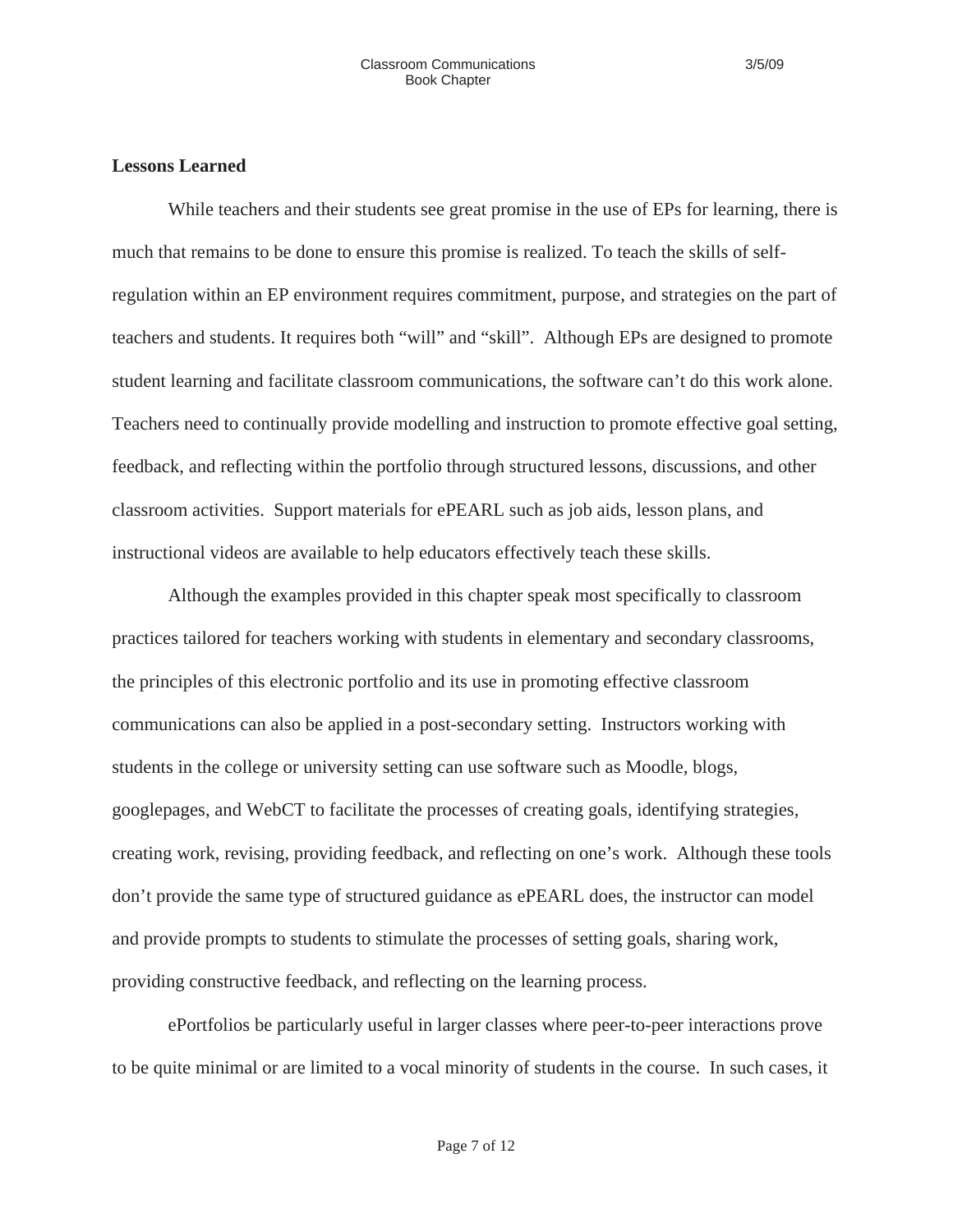## **Lessons Learned**

While teachers and their students see great promise in the use of EPs for learning, there is much that remains to be done to ensure this promise is realized. To teach the skills of selfregulation within an EP environment requires commitment, purpose, and strategies on the part of teachers and students. It requires both "will" and "skill". Although EPs are designed to promote student learning and facilitate classroom communications, the software can't do this work alone. Teachers need to continually provide modelling and instruction to promote effective goal setting, feedback, and reflecting within the portfolio through structured lessons, discussions, and other classroom activities. Support materials for ePEARL such as job aids, lesson plans, and instructional videos are available to help educators effectively teach these skills.

Although the examples provided in this chapter speak most specifically to classroom practices tailored for teachers working with students in elementary and secondary classrooms, the principles of this electronic portfolio and its use in promoting effective classroom communications can also be applied in a post-secondary setting. Instructors working with students in the college or university setting can use software such as Moodle, blogs, googlepages, and WebCT to facilitate the processes of creating goals, identifying strategies, creating work, revising, providing feedback, and reflecting on one's work. Although these tools don't provide the same type of structured guidance as ePEARL does, the instructor can model and provide prompts to students to stimulate the processes of setting goals, sharing work, providing constructive feedback, and reflecting on the learning process.

ePortfolios be particularly useful in larger classes where peer-to-peer interactions prove to be quite minimal or are limited to a vocal minority of students in the course. In such cases, it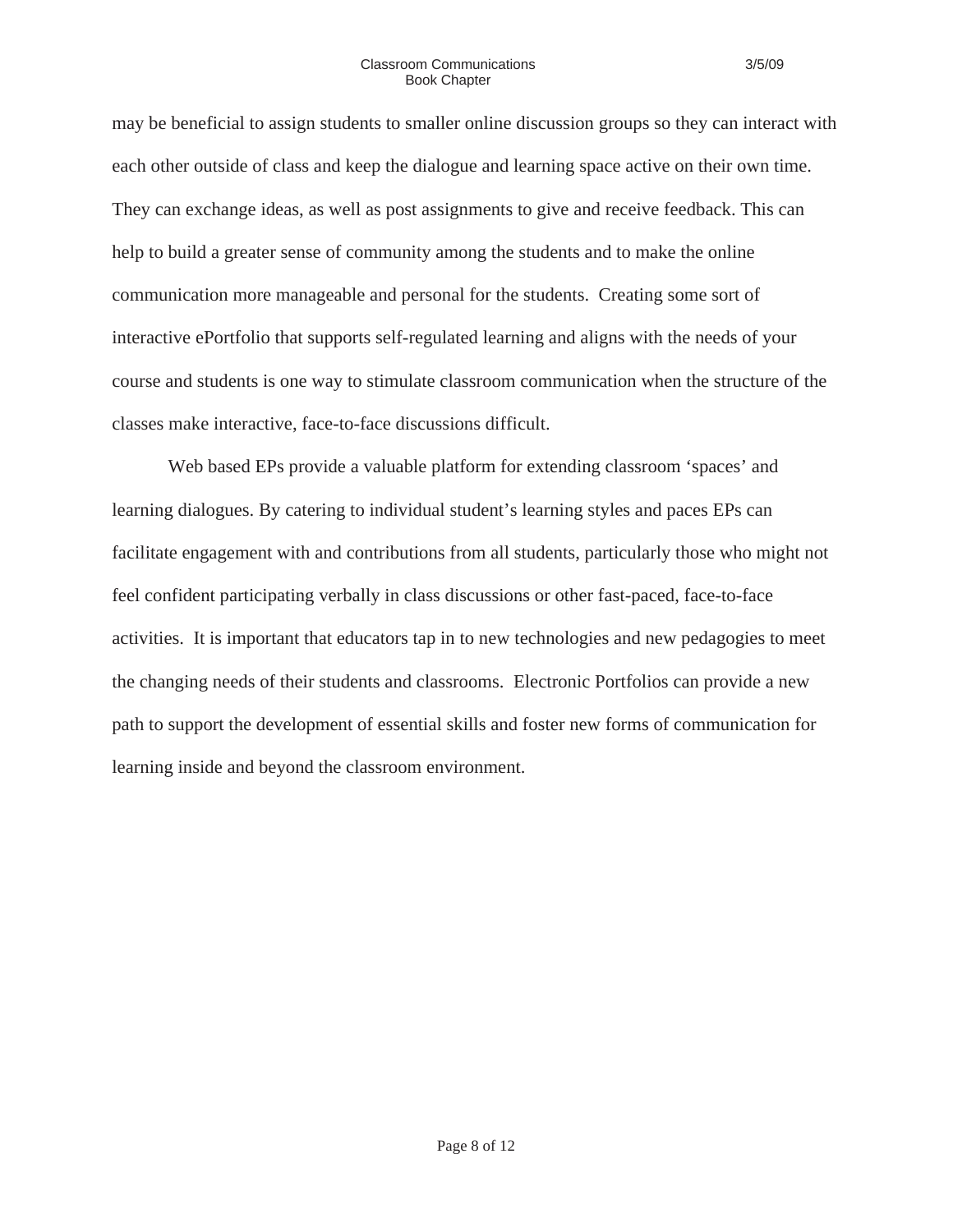may be beneficial to assign students to smaller online discussion groups so they can interact with each other outside of class and keep the dialogue and learning space active on their own time. They can exchange ideas, as well as post assignments to give and receive feedback. This can help to build a greater sense of community among the students and to make the online communication more manageable and personal for the students. Creating some sort of interactive ePortfolio that supports self-regulated learning and aligns with the needs of your course and students is one way to stimulate classroom communication when the structure of the classes make interactive, face-to-face discussions difficult.

Web based EPs provide a valuable platform for extending classroom 'spaces' and learning dialogues. By catering to individual student's learning styles and paces EPs can facilitate engagement with and contributions from all students, particularly those who might not feel confident participating verbally in class discussions or other fast-paced, face-to-face activities. It is important that educators tap in to new technologies and new pedagogies to meet the changing needs of their students and classrooms. Electronic Portfolios can provide a new path to support the development of essential skills and foster new forms of communication for learning inside and beyond the classroom environment.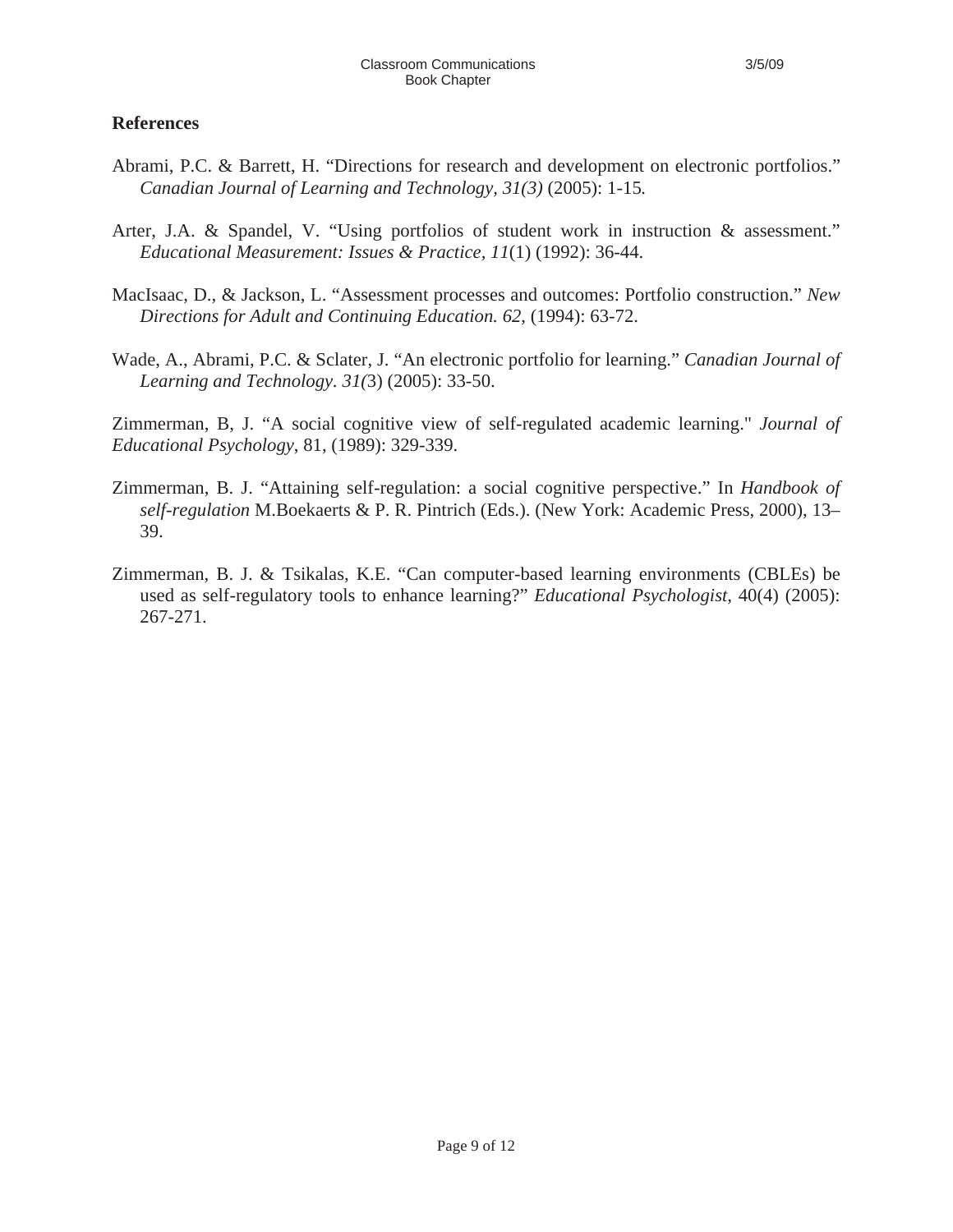## **References**

- Abrami, P.C. & Barrett, H. "Directions for research and development on electronic portfolios." *Canadian Journal of Learning and Technology, 31(3)* (2005): 1-15*.*
- Arter, J.A. & Spandel, V. "Using portfolios of student work in instruction & assessment." *Educational Measurement: Issues & Practice, 11*(1) (1992): 36-44.
- MacIsaac, D., & Jackson, L. "Assessment processes and outcomes: Portfolio construction." *New Directions for Adult and Continuing Education. 62*, (1994): 63-72.
- Wade, A., Abrami, P.C. & Sclater, J. "An electronic portfolio for learning." *Canadian Journal of Learning and Technology. 31(*3) (2005): 33-50.

Zimmerman, B, J. "A social cognitive view of self-regulated academic learning." *Journal of Educational Psychology*, 81, (1989): 329-339.

- Zimmerman, B. J. "Attaining self-regulation: a social cognitive perspective." In *Handbook of self-regulation* M.Boekaerts & P. R. Pintrich (Eds.). (New York: Academic Press, 2000), 13– 39.
- Zimmerman, B. J. & Tsikalas, K.E. "Can computer-based learning environments (CBLEs) be used as self-regulatory tools to enhance learning?" *Educational Psychologist,* 40(4) (2005): 267-271.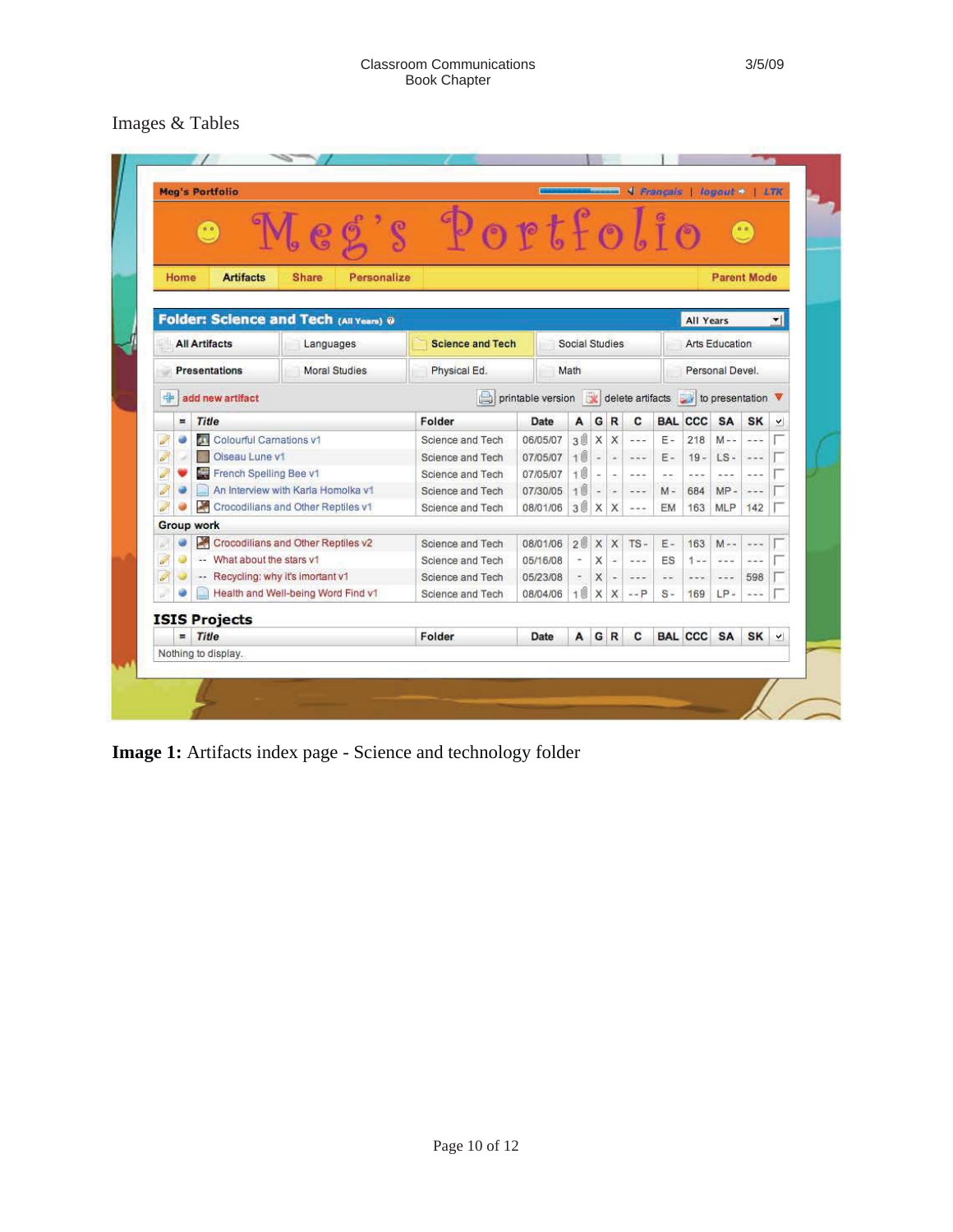# Images & Tables

|                       | 0.0                                          |                         | .62                                | $\varsigma$                                                     | Poetfol                 |                |              |                          |                          |                                           |                       |                   |                                           |                                                                                                                                                                                                                                                                                                                                                                                              |              |
|-----------------------|----------------------------------------------|-------------------------|------------------------------------|-----------------------------------------------------------------|-------------------------|----------------|--------------|--------------------------|--------------------------|-------------------------------------------|-----------------------|-------------------|-------------------------------------------|----------------------------------------------------------------------------------------------------------------------------------------------------------------------------------------------------------------------------------------------------------------------------------------------------------------------------------------------------------------------------------------------|--------------|
|                       | Home                                         | <b>Artifacts</b>        | <b>Share</b>                       | Personalize                                                     |                         |                |              |                          |                          |                                           |                       |                   | <b>Parent Mode</b>                        |                                                                                                                                                                                                                                                                                                                                                                                              |              |
|                       |                                              |                         |                                    | Folder: Science and Tech (All Years) 0                          |                         |                |              |                          |                          |                                           | <b>All Years</b><br>ᆌ |                   |                                           |                                                                                                                                                                                                                                                                                                                                                                                              |              |
|                       | <b>All Artifacts</b>                         |                         | Languages                          |                                                                 | <b>Science and Tech</b> | Social Studies |              |                          |                          |                                           | Arts Education        |                   |                                           |                                                                                                                                                                                                                                                                                                                                                                                              |              |
|                       | <b>Moral Studies</b><br><b>Presentations</b> |                         |                                    | Physical Ed.                                                    | Math                    |                |              |                          | Personal Devel.          |                                           |                       |                   |                                           |                                                                                                                                                                                                                                                                                                                                                                                              |              |
| 中<br>add new artifact |                                              |                         |                                    | printable version <b>&amp;</b> delete artifacts to presentation |                         |                |              |                          |                          |                                           |                       |                   |                                           |                                                                                                                                                                                                                                                                                                                                                                                              |              |
|                       | <b>Title</b><br>$=$                          |                         |                                    |                                                                 | Folder                  | Date           | A            | G                        | R                        | C                                         |                       | <b>BAL CCC</b>    | SA                                        | <b>SK</b>                                                                                                                                                                                                                                                                                                                                                                                    | Y            |
| P                     | ü                                            | Colourful Carnations v1 |                                    |                                                                 | Science and Tech        | 06/05/07       | 30           | X                        | X                        | $- - -$                                   | $E -$                 | 218               | $M - -$                                   | $- - -$                                                                                                                                                                                                                                                                                                                                                                                      |              |
| ð                     |                                              | Oiseau Lune v1          |                                    |                                                                 | Science and Tech        | 07/05/07       | 10           | $\overline{\phantom{a}}$ | $\omega$                 | $\rightarrow \rightarrow \rightarrow$     | $E -$                 | $19 -$            | LS-                                       | $\frac{1}{2} \frac{1}{2} \frac{1}{2} \frac{1}{2} \frac{1}{2} \frac{1}{2} \frac{1}{2} \frac{1}{2} \frac{1}{2} \frac{1}{2} \frac{1}{2} \frac{1}{2} \frac{1}{2} \frac{1}{2} \frac{1}{2} \frac{1}{2} \frac{1}{2} \frac{1}{2} \frac{1}{2} \frac{1}{2} \frac{1}{2} \frac{1}{2} \frac{1}{2} \frac{1}{2} \frac{1}{2} \frac{1}{2} \frac{1}{2} \frac{1}{2} \frac{1}{2} \frac{1}{2} \frac{1}{2} \frac{$ |              |
| J                     |                                              | French Spelling Bee v1  |                                    |                                                                 | Science and Tech        | 07/05/07       | 1 1          |                          | $\overline{\phantom{a}}$ | $ -$                                      | $\sigma$ $\sim$       | n.n.e             | a mini                                    | $- - -$                                                                                                                                                                                                                                                                                                                                                                                      |              |
|                       |                                              |                         | An Interview with Karla Homolka v1 |                                                                 | Science and Tech        | 07/30/05       | 10           | $\overline{\phantom{a}}$ | $\overline{\phantom{a}}$ | $\rightarrow$ $\rightarrow$ $\rightarrow$ | $M -$                 | 684               | $MP -$                                    | $- - -$                                                                                                                                                                                                                                                                                                                                                                                      |              |
|                       | 奉                                            |                         | Crocodilians and Other Reptiles v1 |                                                                 | Science and Tech        | 08/01/06       | 30           | X                        | X                        | $\sim$ $\sim$ $\sim$                      | EM                    | 163               | <b>MLP</b>                                | 142                                                                                                                                                                                                                                                                                                                                                                                          |              |
|                       | <b>Group work</b>                            |                         |                                    |                                                                 |                         |                |              |                          |                          |                                           |                       |                   |                                           |                                                                                                                                                                                                                                                                                                                                                                                              |              |
| ×                     |                                              |                         | Crocodilians and Other Reptiles v2 |                                                                 | Science and Tech        | 08/01/06       | 200          | X X                      |                          | $TS -$                                    | E-                    | 163               | $M - -$                                   | $+ - -$                                                                                                                                                                                                                                                                                                                                                                                      |              |
| ð                     | W.                                           | What about the stars v1 |                                    |                                                                 | Science and Tech        | 05/16/08       |              | X                        | $\sim$                   | $\sim$ $\sim$ $\sim$                      | ES                    | $1 - -$           | $\omega = \omega$                         | $- - -$                                                                                                                                                                                                                                                                                                                                                                                      |              |
| Ø                     |                                              |                         | -- Recycling: why it's imortant v1 |                                                                 | Science and Tech        | 05/23/08       |              | X                        | $\frac{1}{\sqrt{2}}$     | $- - - \,$                                | $\frac{1}{2}$         | $\rightarrow + +$ | $\rightarrow$ $\rightarrow$ $\rightarrow$ | 598                                                                                                                                                                                                                                                                                                                                                                                          |              |
|                       |                                              |                         | Health and Well-being Word Find v1 |                                                                 | Science and Tech        | 08/04/06       | 1.1          | X                        | X                        | $ P$                                      | $S -$                 | 169               | $LP -$                                    | $- - -$                                                                                                                                                                                                                                                                                                                                                                                      |              |
|                       | <b>ISIS Projects</b>                         |                         |                                    |                                                                 |                         |                |              |                          |                          |                                           |                       |                   |                                           |                                                                                                                                                                                                                                                                                                                                                                                              |              |
|                       | Title<br>$=$                                 |                         |                                    |                                                                 | Folder                  | Date           | $\mathsf{A}$ |                          | GR                       | c                                         |                       |                   | <b>BAL CCC SA</b>                         | <b>SK</b>                                                                                                                                                                                                                                                                                                                                                                                    | $\checkmark$ |
|                       | Nothing to display.                          |                         |                                    |                                                                 |                         |                |              |                          |                          |                                           |                       |                   |                                           |                                                                                                                                                                                                                                                                                                                                                                                              |              |

**Image 1:** Artifacts index page - Science and technology folder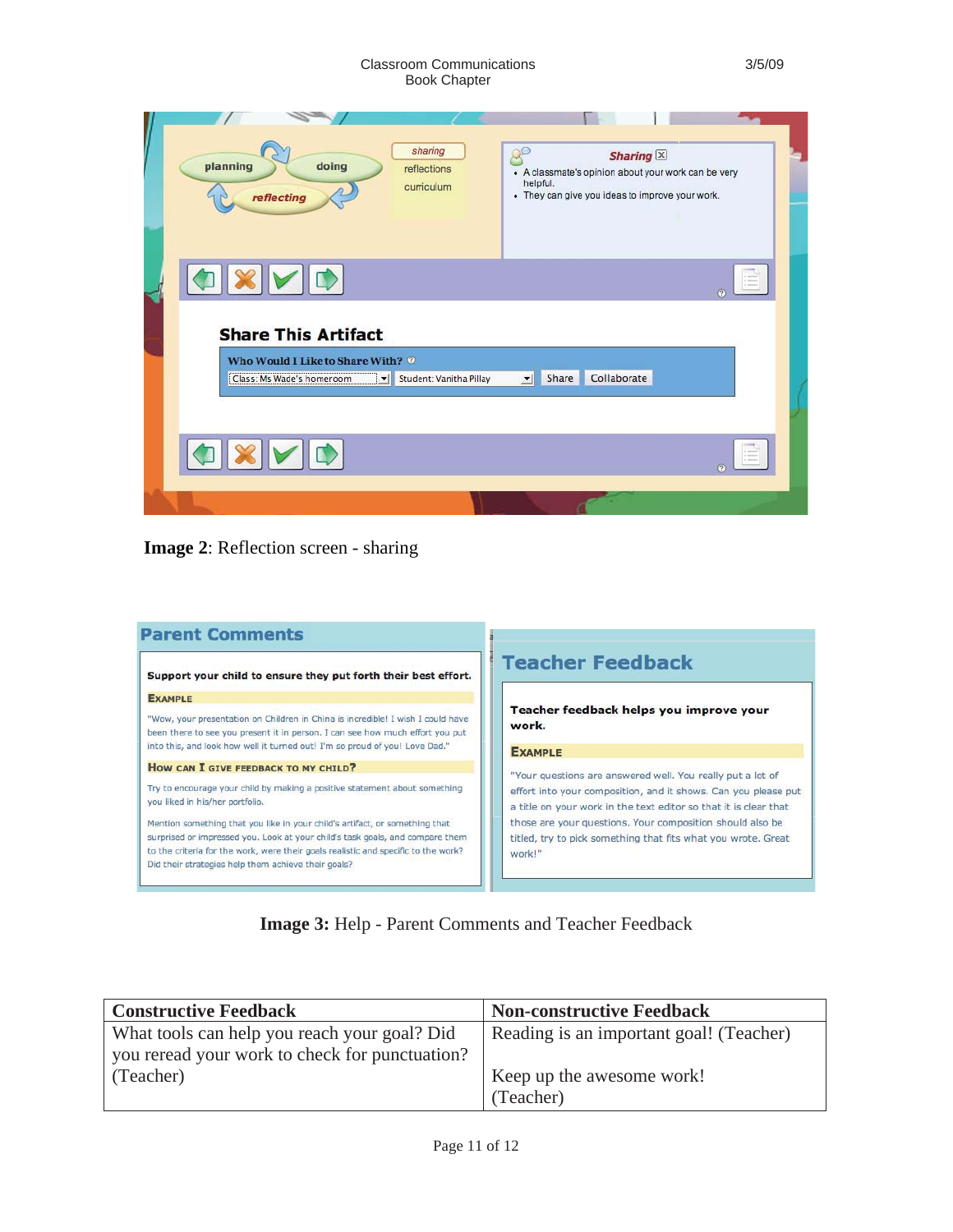#### Classroom Communications 3/5/09 Book Chapter

| sharing<br>QE<br>Sharing $\times$<br>planning<br>doing<br>reflections<br>• A classmate's opinion about your work can be very<br>helpful.<br>curriculum<br>• They can give you ideas to improve your work.<br>reflecting |  |
|-------------------------------------------------------------------------------------------------------------------------------------------------------------------------------------------------------------------------|--|
| <b>Share This Artifact</b><br>Who Would I Like to Share With? @<br>Collaborate<br>Class: Ms Wade's homeroom<br><b>Share</b><br>Student: Vanitha Pillay<br>$\mathbf{r}$                                                  |  |
|                                                                                                                                                                                                                         |  |

**Image 2**: Reflection screen - sharing

|                                                                                                                                                                  | <b>Teacher Feedback</b>                                                                                                                                                                          |
|------------------------------------------------------------------------------------------------------------------------------------------------------------------|--------------------------------------------------------------------------------------------------------------------------------------------------------------------------------------------------|
| Support your child to ensure they put forth their best effort.                                                                                                   |                                                                                                                                                                                                  |
| <b>EXAMPLE</b>                                                                                                                                                   |                                                                                                                                                                                                  |
| "Wow, your presentation on Children in China is incredible! I wish I could have<br>been there to see you present it in person. I can see how much effort you put | Teacher feedback helps you improve your<br>work.                                                                                                                                                 |
| into this, and look how well it turned out! I'm so proud of you! Love Dad."                                                                                      | <b>EXAMPLE</b>                                                                                                                                                                                   |
| HOW CAN I GIVE FEEDBACK TO MY CHILD?                                                                                                                             |                                                                                                                                                                                                  |
| Try to encourage your child by making a positive statement about something<br>you liked in his/her portfolio.                                                    | "Your questions are answered well. You really put a lot of<br>effort into your composition, and it shows. Can you please put<br>a title on your work in the text editor so that it is clear that |
| Mention something that you like in your child's artifact, or something that                                                                                      | those are your questions. Your composition should also be                                                                                                                                        |
| surprised or impressed you. Look at your child's task goals, and compare them                                                                                    | titled, try to pick something that fits what you wrote. Great                                                                                                                                    |
| to the criteria for the work, were their goals realistic and specific to the work?<br>Did their strategies help them achieve their goals?                        | work!"                                                                                                                                                                                           |

**Image 3:** Help - Parent Comments and Teacher Feedback

| <b>Constructive Feedback</b>                   | <b>Non-constructive Feedback</b>        |
|------------------------------------------------|-----------------------------------------|
| What tools can help you reach your goal? Did   | Reading is an important goal! (Teacher) |
| you reread your work to check for punctuation? |                                         |
| (Teacher)                                      | Keep up the awesome work!               |
|                                                | (Teacher)                               |